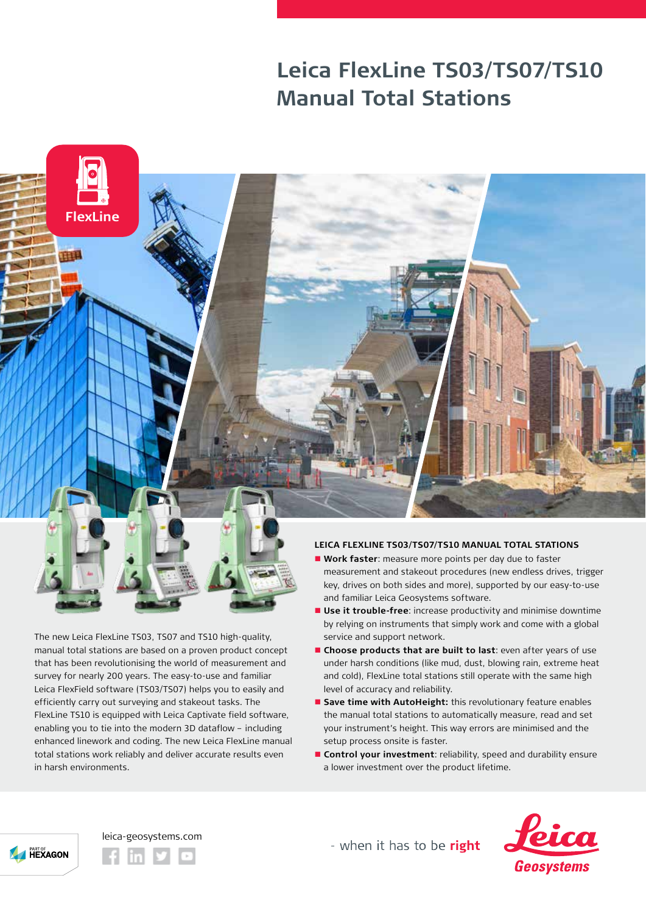## **Leica FlexLine TS03/TS07/TS10 Manual Total Stations**



The new Leica FlexLine TS03, TS07 and TS10 high-quality, manual total stations are based on a proven product concept that has been revolutionising the world of measurement and survey for nearly 200 years. The easy-to-use and familiar Leica FlexField software (TS03/TS07) helps you to easily and efficiently carry out surveying and stakeout tasks. The FlexLine TS10 is equipped with Leica Captivate field software, enabling you to tie into the modern 3D dataflow – including enhanced linework and coding. The new Leica FlexLine manual total stations work reliably and deliver accurate results even in harsh environments.

## **LEICA FLEXLINE TS03/TS07/TS10 MANUAL TOTAL STATIONS**

- **Nork faster**: measure more points per day due to faster measurement and stakeout procedures (new endless drives, trigger key, drives on both sides and more), supported by our easy-to-use and familiar Leica Geosystems software.
- $\blacksquare$  **Use it trouble-free**: increase productivity and minimise downtime by relying on instruments that simply work and come with a global service and support network.
- **n** Choose products that are built to last: even after years of use under harsh conditions (like mud, dust, blowing rain, extreme heat and cold), FlexLine total stations still operate with the same high level of accuracy and reliability.
- **E** Save time with AutoHeight: this revolutionary feature enables the manual total stations to automatically measure, read and set your instrument's height. This way errors are minimised and the setup process onsite is faster.
- **n** Control your investment: reliability, speed and durability ensure a lower investment over the product lifetime.



leica-geosystems.com

- when it has to be right